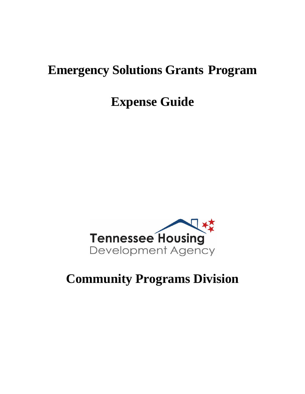# **Emergency Solutions Grants Program**

# **Expense Guide**



# **Community Programs Division**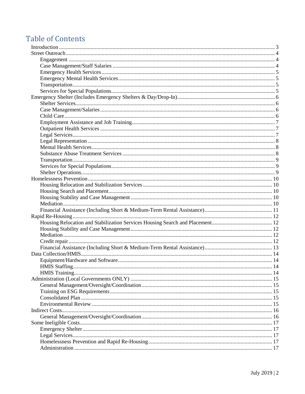# **Table of Contents**

| <b>HMIS Staffing.</b> | $\sim$ 14 |
|-----------------------|-----------|
|                       |           |
|                       |           |
|                       |           |
|                       |           |
|                       |           |
|                       |           |
|                       |           |
|                       |           |
|                       |           |
|                       |           |
|                       |           |
|                       |           |
|                       |           |
|                       |           |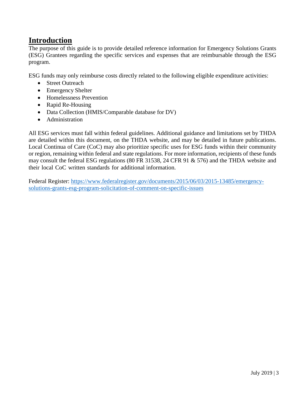# <span id="page-2-0"></span>**Introduction**

The purpose of this guide is to provide detailed reference information for Emergency Solutions Grants (ESG) Grantees regarding the specific services and expenses that are reimbursable through the ESG program.

ESG funds may only reimburse costs directly related to the following eligible expenditure activities:

- Street Outreach
- Emergency Shelter
- Homelessness Prevention
- Rapid Re-Housing
- Data Collection (HMIS/Comparable database for DV)
- Administration

All ESG services must fall within federal guidelines. Additional guidance and limitations set by THDA are detailed within this document, on the THDA website, and may be detailed in future publications. Local Continua of Care (CoC) may also prioritize specific uses for ESG funds within their community or region, remaining within federal and state regulations. For more information, recipients of these funds may consult the federal ESG regulations (80 FR 31538, 24 CFR 91 & 576) and the THDA website and their local CoC written standards for additional information.

Federal Register: [https://www.federalregister.gov/documents/2015/06/03/2015-13485/emergency](http://www.federalregister.gov/documents/2015/06/03/2015-13485/emergency-)solutions-grants-esg-program-solicitation-of-comment-on-specific-issues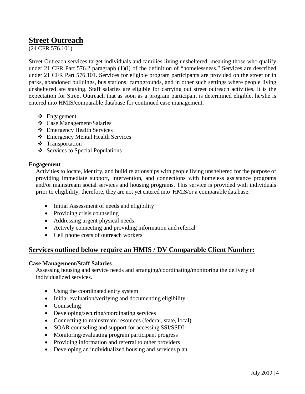# <span id="page-3-0"></span>**Street Outreach**

(24 CFR 576.101)

Street Outreach services target individuals and families living unsheltered, meaning those who qualify under 21 CFR Part 576.2 paragraph (1)(i) of the definition of "homelessness." Services are described under 21 CFR Part 576.101. Services for eligible program participants are provided on the street or in parks, abandoned buildings, bus stations, campgrounds, and in other such settings where people living unsheltered are staying. Staff salaries are eligible for carrying out street outreach activities. It is the expectation for Street Outreach that as soon as a program participant is determined eligible, he/she is entered into HMIS/comparable database for continued case management.

- Engagement
- Case Management/Salaries
- Emergency Health Services
- Emergency Mental Health Services
- ❖ Transportation
- $\triangle$  Services to Special Populations

# <span id="page-3-1"></span>**Engagement**

Activities to locate, identify, and build relationships with people living unsheltered for the purpose of providing immediate support, intervention, and connections with homeless assistance programs and/or mainstream social services and housing programs. This service is provided with individuals prior to eligibility; therefore, they are not yet entered into HMIS/or a comparable database.

- Initial Assessment of needs and eligibility
- Providing crisis counseling
- Addressing urgent physical needs
- Actively connecting and providing information and referral
- Cell phone costs of outreach workers

# **Services outlined below require an HMIS / DV Comparable Client Number:**

# <span id="page-3-2"></span>**Case Management/Staff Salaries**

Assessing housing and service needs and arranging/coordinating/monitoring the delivery of individualized services.

- Using the coordinated entry system
- Initial evaluation/verifying and documenting eligibility
- Counseling
- Developing/securing/coordinating services
- Connecting to mainstream resources (federal, state, local)
- SOAR counseling and support for accessing SSI/SSDI
- Monitoring/evaluating program participant progress
- Providing information and referral to other providers
- Developing an individualized housing and services plan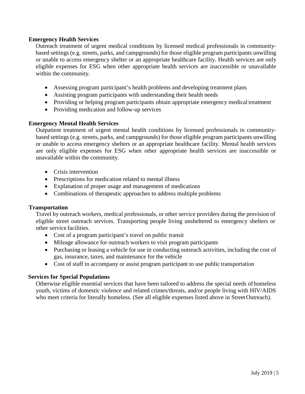## <span id="page-4-0"></span>**Emergency Health Services**

Outreach treatment of urgent medical conditions by licensed medical professionals in communitybased settings (e.g. streets, parks, and campgrounds) for those eligible program participants unwilling or unable to access emergency shelter or an appropriate healthcare facility. Health services are only eligible expenses for ESG when other appropriate health services are inaccessible or unavailable within the community.

- Assessing program participant's health problems and developing treatment plans
- Assisting program participants with understanding their health needs
- Providing or helping program participants obtain appropriate emergency medical treatment
- Providing medication and follow-up services

## <span id="page-4-1"></span>**Emergency Mental Health Services**

Outpatient treatment of urgent mental health conditions by licensed professionals in communitybased settings (e.g. streets, parks, and campgrounds) for those eligible program participants unwilling or unable to access emergency shelters or an appropriate healthcare facility. Mental health services are only eligible expenses for ESG when other appropriate health services are inaccessible or unavailable within the community.

- Crisis intervention
- Prescriptions for medication related to mental illness
- Explanation of proper usage and management of medications
- Combinations of therapeutic approaches to address multiple problems

#### <span id="page-4-2"></span>**Transportation**

Travel by outreach workers, medical professionals, or other service providers during the provision of eligible street outreach services. Transporting people living unsheltered to emergency shelters or other service facilities.

- Cost of a program participant's travel on public transit
- Mileage allowance for outreach workers to visit program participants
- Purchasing or leasing a vehicle for use in conducting outreach activities, including the cost of gas, insurance, taxes, and maintenance for the vehicle
- Cost of staff to accompany or assist program participant to use public transportation

## <span id="page-4-3"></span>**Services for Special Populations**

Otherwise eligible essential services that have been tailored to address the special needs of homeless youth, victims of domestic violence and related crimes/threats, and/or people living with HIV/AIDS who meet criteria for literally homeless. (See all eligible expenses listed above in Street Outreach).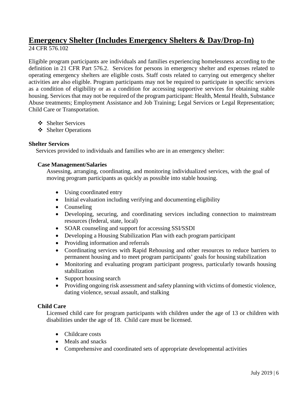# <span id="page-5-0"></span>**Emergency Shelter (Includes Emergency Shelters & Day/Drop-In)** 24 CFR 576.102

Eligible program participants are individuals and families experiencing homelessness according to the definition in 21 CFR Part 576.2. Services for persons in emergency shelter and expenses related to operating emergency shelters are eligible costs. Staff costs related to carrying out emergency shelter activities are also eligible. Program participants may not be required to participate in specific services as a condition of eligibility or as a condition for accessing supportive services for obtaining stable housing. Services that may not be required of the program participant: Health, Mental Health, Substance Abuse treatments; Employment Assistance and Job Training; Legal Services or Legal Representation; Child Care or Transportation.

- Shelter Services
- ❖ Shelter Operations

# <span id="page-5-1"></span>**Shelter Services**

Services provided to individuals and families who are in an emergency shelter:

# <span id="page-5-2"></span>**Case Management/Salaries**

Assessing, arranging, coordinating, and monitoring individualized services, with the goal of moving program participants as quickly as possible into stable housing.

- Using coordinated entry
- Initial evaluation including verifying and documenting eligibility
- Counseling
- Developing, securing, and coordinating services including connection to mainstream resources (federal, state, local)
- SOAR counseling and support for accessing SSI/SSDI
- Developing a Housing Stabilization Plan with each program participant
- Providing information and referrals
- Coordinating services with Rapid Rehousing and other resources to reduce barriers to permanent housing and to meet program participants' goals for housing stabilization
- Monitoring and evaluating program participant progress, particularly towards housing stabilization
- Support housing search
- Providing ongoing risk assessment and safety planning with victims of domestic violence, dating violence, sexual assault, and stalking

# <span id="page-5-3"></span>**Child Care**

Licensed child care for program participants with children under the age of 13 or children with disabilities under the age of 18. Child care must be licensed.

- Childcare costs
- Meals and snacks
- Comprehensive and coordinated sets of appropriate developmental activities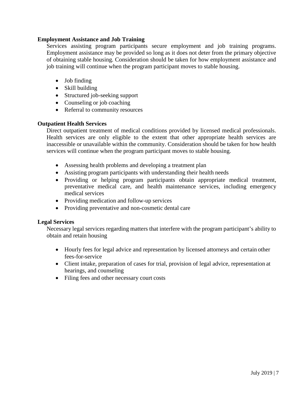# <span id="page-6-0"></span>**Employment Assistance and Job Training**

Services assisting program participants secure employment and job training programs. Employment assistance may be provided so long as it does not deter from the primary objective of obtaining stable housing. Consideration should be taken for how employment assistance and job training will continue when the program participant moves to stable housing.

- Job finding
- Skill building
- Structured job-seeking support
- Counseling or job coaching
- Referral to community resources

# <span id="page-6-1"></span>**Outpatient Health Services**

Direct outpatient treatment of medical conditions provided by licensed medical professionals. Health services are only eligible to the extent that other appropriate health services are inaccessible or unavailable within the community. Consideration should be taken for how health services will continue when the program participant moves to stable housing.

- Assessing health problems and developing a treatment plan
- Assisting program participants with understanding their health needs
- Providing or helping program participants obtain appropriate medical treatment, preventative medical care, and health maintenance services, including emergency medical services
- Providing medication and follow-up services
- Providing preventative and non-cosmetic dental care

## <span id="page-6-2"></span>**Legal Services**

Necessary legal services regarding matters that interfere with the program participant's ability to obtain and retain housing

- Hourly fees for legal advice and representation by licensed attorneys and certain other fees-for-service
- Client intake, preparation of cases for trial, provision of legal advice, representation at hearings, and counseling
- Filing fees and other necessary court costs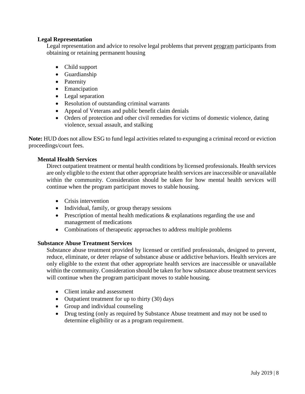# <span id="page-7-0"></span>**Legal Representation**

Legal representation and advice to resolve legal problems that prevent program participants from obtaining or retaining permanent housing

- Child support
- Guardianship
- Paternity
- Emancipation
- Legal separation
- Resolution of outstanding criminal warrants
- Appeal of Veterans and public benefit claim denials
- Orders of protection and other civil remedies for victims of domestic violence, dating violence, sexual assault, and stalking

**Note:** HUD does not allow ESG to fund legal activities related to expunging a criminal record or eviction proceedings/court fees.

# <span id="page-7-1"></span>**Mental Health Services**

Direct outpatient treatment or mental health conditions by licensed professionals. Health services are only eligible to the extent that other appropriate health services are inaccessible or unavailable within the community. Consideration should be taken for how mental health services will continue when the program participant moves to stable housing.

- Crisis intervention
- Individual, family, or group therapy sessions
- Prescription of mental health medications & explanations regarding the use and management of medications
- Combinations of therapeutic approaches to address multiple problems

## <span id="page-7-2"></span>**Substance Abuse Treatment Services**

Substance abuse treatment provided by licensed or certified professionals, designed to prevent, reduce, eliminate, or deter relapse of substance abuse or addictive behaviors. Health services are only eligible to the extent that other appropriate health services are inaccessible or unavailable within the community. Consideration should be taken for how substance abuse treatment services will continue when the program participant moves to stable housing.

- Client intake and assessment
- Outpatient treatment for up to thirty (30) days
- Group and individual counseling
- Drug testing (only as required by Substance Abuse treatment and may not be used to determine eligibility or as a program requirement.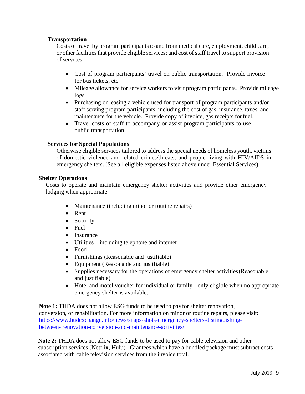# <span id="page-8-0"></span>**Transportation**

Costs of travel by program participants to and from medical care, employment, child care, or other facilities that provide eligible services; and cost of staff travel to support provision of services

- Cost of program participants' travel on public transportation. Provide invoice for bus tickets, etc.
- Mileage allowance for service workers to visit program participants. Provide mileage logs.
- Purchasing or leasing a vehicle used for transport of program participants and/or staff serving program participants, including the cost of gas, insurance, taxes, and maintenance for the vehicle. Provide copy of invoice, gas receipts forfuel.
- Travel costs of staff to accompany or assist program participants to use public transportation

# <span id="page-8-1"></span>**Services for Special Populations**

Otherwise eligible services tailored to address the special needs of homeless youth, victims of domestic violence and related crimes/threats, and people living with HIV/AIDS in emergency shelters. (See all eligible expenses listed above under Essential Services).

## <span id="page-8-2"></span>**Shelter Operations**

Costs to operate and maintain emergency shelter activities and provide other emergency lodging when appropriate.

- Maintenance (including minor or routine repairs)
- Rent
- Security
- Fuel
- Insurance
- Utilities including telephone and internet
- Food
- Furnishings (Reasonable and justifiable)
- Equipment (Reasonable and justifiable)
- Supplies necessary for the operations of emergency shelter activities (Reasonable and justifiable)
- Hotel and motel voucher for individual or family only eligible when no appropriate emergency shelter is available.

**Note 1:** THDA does not allow ESG funds to be used to payfor shelter renovation, conversion, or rehabilitation. For more information on minor or routine repairs, please visit: [https://www.hudexchange.info/news/snaps-shots-emergency-shelters-distinguishing](https://www.hudexchange.info/news/snaps-shots-emergency-shelters-distinguishing-between-%20renovation-conversion-and-maintenance-activities/)between- [renovation-conversion-and-maintenance-activities/](https://www.hudexchange.info/news/snaps-shots-emergency-shelters-distinguishing-between-%20renovation-conversion-and-maintenance-activities/)

**Note 2:** THDA does not allow ESG funds to be used to pay for cable television and other subscription services (Netflix, Hulu). Grantees which have a bundled package must subtract costs associated with cable television services from the invoice total.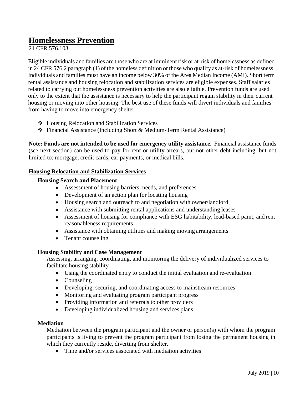# <span id="page-9-0"></span>**Homelessness Prevention**

24 CFR 576.103

Eligible individuals and families are those who are at imminent risk or at-risk of homelessness as defined in 24 CFR 576.2 paragraph (1) of the homeless definition or those who qualify as at-risk of homelessness. Individuals and families must have an income below 30% of the Area Median Income (AMI). Short term rental assistance and housing relocation and stabilization services are eligible expenses. Staff salaries related to carrying out homelessness prevention activities are also eligible. Prevention funds are used only to the extent that the assistance is necessary to help the participant regain stability in their current housing or moving into other housing. The best use of these funds will divert individuals and families from having to move into emergency shelter.

- Housing Relocation and Stabilization Services
- Financial Assistance (Including Short & Medium-Term Rental Assistance)

**Note: Funds are not intended to be used for emergency utility assistance.** Financial assistance funds (see next section) can be used to pay for rent or utility arrears, but not other debt including, but not limited to: mortgage, credit cards, car payments, or medical bills.

## <span id="page-9-2"></span><span id="page-9-1"></span>**Housing Relocation and Stabilization Services**

# **Housing Search and Placement**

- Assessment of housing barriers, needs, and preferences
- Development of an action plan for locating housing
- Housing search and outreach to and negotiation with owner/landlord
- Assistance with submitting rental applications and understanding leases
- Assessment of housing for compliance with ESG habitability, lead-based paint, and rent reasonableness requirements
- Assistance with obtaining utilities and making moving arrangements
- Tenant counseling

## <span id="page-9-3"></span>**Housing Stability and Case Management**

Assessing, arranging, coordinating, and monitoring the delivery of individualized services to facilitate housing stability

- Using the coordinated entry to conduct the initial evaluation and re-evaluation
- Counseling
- Developing, securing, and coordinating access to mainstream resources
- Monitoring and evaluating program participant progress
- Providing information and referrals to other providers
- Developing individualized housing and services plans

## <span id="page-9-4"></span>**Mediation**

Mediation between the program participant and the owner or person(s) with whom the program participants is living to prevent the program participant from losing the permanent housing in which they currently reside, diverting from shelter.

• Time and/or services associated with mediation activities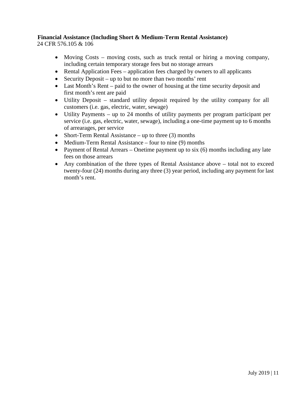# <span id="page-10-0"></span>**Financial Assistance (Including Short & Medium-Term Rental Assistance)**

24 CFR 576.105 & 106

- Moving Costs moving costs, such as truck rental or hiring a moving company, including certain temporary storage fees but no storage arrears
- Rental Application Fees application fees charged by owners to all applicants
- Security Deposit up to but no more than two months' rent
- Last Month's Rent paid to the owner of housing at the time security deposit and first month's rent are paid
- Utility Deposit standard utility deposit required by the utility company for all customers (i.e. gas, electric, water, sewage)
- Utility Payments up to 24 months of utility payments per program participant per service (i.e. gas, electric, water, sewage), including a one-time payment up to 6 months of arrearages, per service
- Short-Term Rental Assistance up to three (3) months
- Medium-Term Rental Assistance four to nine (9) months
- Payment of Rental Arrears Onetime payment up to six (6) months including any late fees on those arrears
- Any combination of the three types of Rental Assistance above total not to exceed twenty-four (24) months during any three (3) year period, including any payment for last month's rent.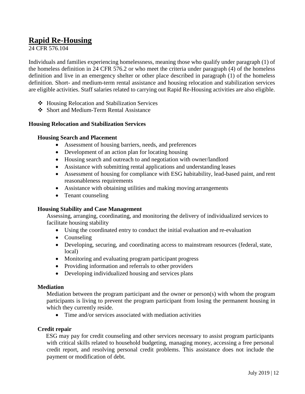# <span id="page-11-0"></span>**Rapid Re-Housing**

24 CFR 576.104

Individuals and families experiencing homelessness, meaning those who qualify under paragraph (1) of the homeless definition in 24 CFR 576.2 or who meet the criteria under paragraph (4) of the homeless definition and live in an emergency shelter or other place described in paragraph (1) of the homeless definition. Short- and medium-term rental assistance and housing relocation and stabilization services are eligible activities. Staff salaries related to carrying out Rapid Re-Housing activities are also eligible.

- Housing Relocation and Stabilization Services
- Short and Medium-Term Rental Assistance

# <span id="page-11-1"></span>**Housing Relocation and Stabilization Services**

# **Housing Search and Placement**

- Assessment of housing barriers, needs, and preferences
- Development of an action plan for locating housing
- Housing search and outreach to and negotiation with owner/landlord
- Assistance with submitting rental applications and understanding leases
- Assessment of housing for compliance with ESG habitability, lead-based paint, and rent reasonableness requirements
- Assistance with obtaining utilities and making moving arrangements
- Tenant counseling

# <span id="page-11-2"></span>**Housing Stability and Case Management**

Assessing, arranging, coordinating, and monitoring the delivery of individualized services to facilitate housing stability

- Using the coordinated entry to conduct the initial evaluation and re-evaluation
- Counseling
- Developing, securing, and coordinating access to mainstream resources (federal, state, local)
- Monitoring and evaluating program participant progress
- Providing information and referrals to other providers
- Developing individualized housing and services plans

## <span id="page-11-3"></span>**Mediation**

Mediation between the program participant and the owner or person(s) with whom the program participants is living to prevent the program participant from losing the permanent housing in which they currently reside.

• Time and/or services associated with mediation activities

## <span id="page-11-4"></span>**Credit repair**

ESG may pay for credit counseling and other services necessary to assist program participants with critical skills related to household budgeting, managing money, accessing a free personal credit report, and resolving personal credit problems. This assistance does not include the payment or modification of debt.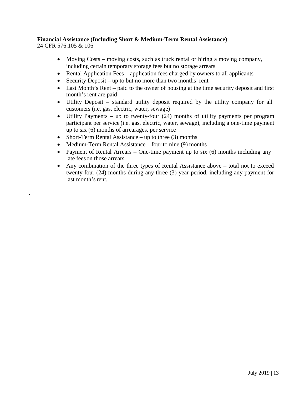# <span id="page-12-0"></span>**Financial Assistance (Including Short & Medium-Term Rental Assistance)**

24 CFR 576.105 & 106

.

- Moving Costs moving costs, such as truck rental or hiring a moving company, including certain temporary storage fees but no storage arrears
- Rental Application Fees application fees charged by owners to all applicants
- Security Deposit up to but no more than two months' rent
- Last Month's Rent paid to the owner of housing at the time security deposit and first month's rent are paid
- Utility Deposit standard utility deposit required by the utility company for all customers (i.e. gas, electric, water, sewage)
- Utility Payments up to twenty-four (24) months of utility payments per program participant per service (i.e. gas, electric, water, sewage), including a one-time payment up to six (6) months of arrearages, per service
- Short-Term Rental Assistance up to three (3) months
- Medium-Term Rental Assistance four to nine (9) months
- Payment of Rental Arrears One-time payment up to six  $(6)$  months including any late feeson those arrears
- Any combination of the three types of Rental Assistance above total not to exceed twenty-four (24) months during any three (3) year period, including any payment for last month's rent.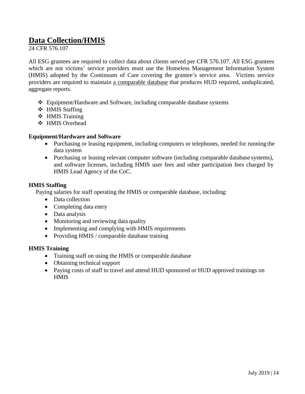# <span id="page-13-0"></span>**Data Collection/HMIS**

24 CFR 576.107

All ESG grantees are required to collect data about clients served per CFR 576.107. All ESG grantees which are not victims' service providers must use the Homeless Management Information System (HMIS) adopted by the Continuum of Care covering the grantee's service area. Victims service providers are required to maintain a comparable database that produces HUD required, unduplicated, aggregate reports.

- Equipment/Hardware and Software, including comparable database systems
- HMIS Staffing
- HMIS Training
- HMIS Overhead

## <span id="page-13-1"></span>**Equipment/Hardware and Software**

- Purchasing or leasing equipment, including computers or telephones, needed for running the data system
- Purchasing or leasing relevant computer software (including comparable database systems), and software licenses, including HMIS user fees and other participation fees charged by HMIS Lead Agency of the CoC.

## <span id="page-13-2"></span>**HMIS Staffing**

Paying salaries for staff operating the HMIS or comparable database, including:

- Data collection
- Completing data entry
- Data analysis
- Monitoring and reviewing data quality
- Implementing and complying with HMIS requirements
- Providing HMIS / comparable database training

## <span id="page-13-3"></span>**HMIS Training**

- Training staff on using the HMIS or comparable database
- Obtaining technical support
- Paying costs of staff to travel and attend HUD sponsored or HUD approved trainings on **HMIS**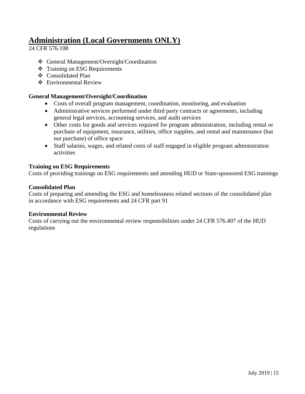# <span id="page-14-0"></span>**Administration (Local Governments ONLY)**

24 CFR 576.108

- General Management/Oversight/Coordination
- **❖** Training on ESG Requirements
- ❖ Consolidated Plan
- Environmental Review

# <span id="page-14-1"></span>**General Management/Oversight/Coordination**

- Costs of overall program management, coordination, monitoring, and evaluation
- Administrative services performed under third party contracts or agreements, including general legal services, accounting services, and audit services
- Other costs for goods and services required for program administration, including rental or purchase of equipment, insurance, utilities, office supplies, and rental and maintenance (but not purchase) of office space
- Staff salaries, wages, and related costs of staff engaged in eligible program administration activities

# <span id="page-14-2"></span>**Training on ESG Requirements**

Costs of providing trainings on ESG requirements and attending HUD or State-sponsored ESG trainings

## <span id="page-14-3"></span>**Consolidated Plan**

Costs of preparing and amending the ESG and homelessness related sections of the consolidated plan in accordance with ESG requirements and 24 CFR part 91

## <span id="page-14-4"></span>**Environmental Review**

Costs of carrying out the environmental review responsibilities under 24 CFR 576.407 of the HUD regulations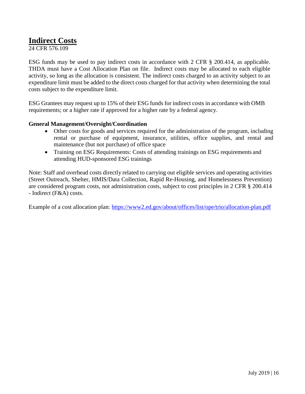# <span id="page-15-0"></span>**Indirect Costs**

24 CFR 576.109

ESG funds may be used to pay indirect costs in accordance with 2 CFR § 200.414, as applicable. THDA must have a Cost Allocation Plan on file. Indirect costs may be allocated to each eligible activity, so long as the allocation is consistent. The indirect costs charged to an activity subject to an expenditure limit must be added to the direct costs charged for that activity when determining the total costs subject to the expenditure limit.

ESG Grantees may request up to 15% of their ESG funds for indirect costs in accordance with OMB requirements; or a higher rate if approved for a higher rate by a federal agency.

# <span id="page-15-1"></span>**General Management/Oversight/Coordination**

- Other costs for goods and services required for the administration of the program, including rental or purchase of equipment, insurance, utilities, office supplies, and rental and maintenance (but not purchase) of office space
- Training on ESG Requirements: Costs of attending trainings on ESG requirements and attending HUD-sponsored ESG trainings

Note: Staff and overhead costs directly related to carrying out eligible services and operating activities (Street Outreach, Shelter, HMIS/Data Collection, Rapid Re-Housing, and Homelessness Prevention) are considered program costs, not administration costs, subject to cost principles in 2 CFR § 200.414 - Indirect (F&A) costs.

Example of a cost allocation plan:<https://www2.ed.gov/about/offices/list/ope/trio/allocation-plan.pdf>